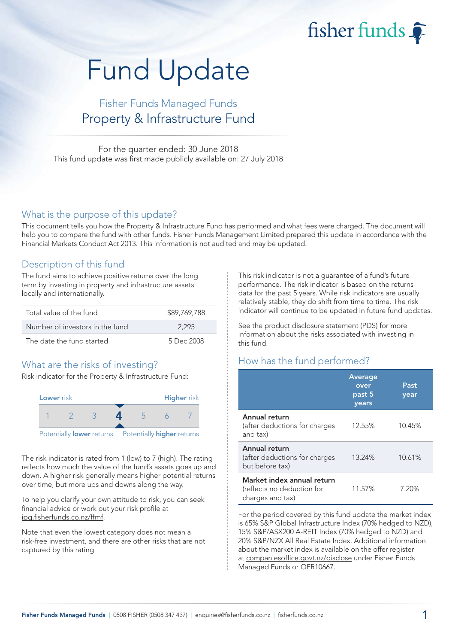fisher funds

# Fund Update

## Fisher Funds Managed Funds Property & Infrastructure Fund

For the quarter ended: 30 June 2018 This fund update was first made publicly available on: 27 July 2018

#### What is the purpose of this update?

This document tells you how the Property & Infrastructure Fund has performed and what fees were charged. The document will help you to compare the fund with other funds. Fisher Funds Management Limited prepared this update in accordance with the Financial Markets Conduct Act 2013. This information is not audited and may be updated.

## Description of this fund

The fund aims to achieve positive returns over the long term by investing in property and infrastructure assets locally and internationally.

| Total value of the fund         | \$89,769,788 |
|---------------------------------|--------------|
| Number of investors in the fund | 2.295        |
| The date the fund started       | 5 Dec 2008   |

## What are the risks of investing?

Risk indicator for the Property & Infrastructure Fund:



The risk indicator is rated from 1 (low) to 7 (high). The rating reflects how much the value of the fund's assets goes up and down. A higher risk generally means higher potential returns over time, but more ups and downs along the way.

To help you clarify your own attitude to risk, you can seek financial advice or work out your risk profile at [ipq.fisherfunds.co.nz/ffmf.](https://ipq.fisherfunds.co.nz/ffmf)

Note that even the lowest category does not mean a risk-free investment, and there are other risks that are not captured by this rating.

This risk indicator is not a guarantee of a fund's future performance. The risk indicator is based on the returns data for the past 5 years. While risk indicators are usually relatively stable, they do shift from time to time. The risk indicator will continue to be updated in future fund updates.

See the [product disclosure statement \(PDS\)](https://fisherfunds.co.nz/assets/PDS/Fisher-Funds-Managed-Funds-PDS.pdf) for more information about the risks associated with investing in this fund.

## How has the fund performed?

|                                                                              | Average<br>over<br>past 5<br>years | Past<br>year |
|------------------------------------------------------------------------------|------------------------------------|--------------|
| Annual return<br>(after deductions for charges<br>and tax)                   | 12.55%                             | 10.45%       |
| Annual return<br>(after deductions for charges<br>but before tax)            | 13.24%                             | 10.61%       |
| Market index annual return<br>(reflects no deduction for<br>charges and tax) | 11.57%                             | 7.20%        |

For the period covered by this fund update the market index is 65% S&P Global Infrastructure Index (70% hedged to NZD), 15% S&P/ASX200 A-REIT Index (70% hedged to NZD) and 20% S&P/NZX All Real Estate Index. Additional information about the market index is available on the offer register at [companiesoffice.govt.nz/disclose](http://companiesoffice.govt.nz/disclose) under Fisher Funds Managed Funds or OFR10667.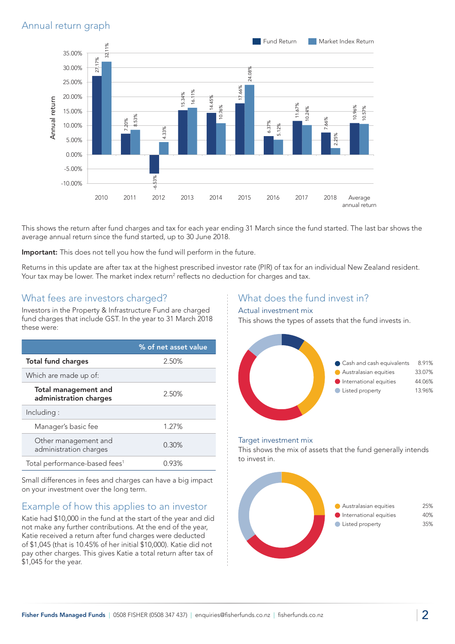## Annual return graph



This shows the return after fund charges and tax for each year ending 31 March since the fund started. The last bar shows the average annual return since the fund started, up to 30 June 2018.

Important: This does not tell you how the fund will perform in the future.

Returns in this update are after tax at the highest prescribed investor rate (PIR) of tax for an individual New Zealand resident. Your tax may be lower. The market index return<sup>2</sup> reflects no deduction for charges and tax.

#### What fees are investors charged?

Investors in the Property & Infrastructure Fund are charged fund charges that include GST. In the year to 31 March 2018 these were:

|                                                | % of net asset value |
|------------------------------------------------|----------------------|
| <b>Total fund charges</b>                      | 2.50%                |
| Which are made up of:                          |                      |
| Total management and<br>administration charges | 2.50%                |
| Including:                                     |                      |
| Manager's basic fee                            | 1.27%                |
| Other management and<br>administration charges | 0.30%                |
| Total performance-based fees <sup>1</sup>      | 0.93%                |

Small differences in fees and charges can have a big impact on your investment over the long term.

## Example of how this applies to an investor

Katie had \$10,000 in the fund at the start of the year and did not make any further contributions. At the end of the year, Katie received a return after fund charges were deducted of \$1,045 (that is 10.45% of her initial \$10,000). Katie did not pay other charges. This gives Katie a total return after tax of \$1,045 for the year.

## What does the fund invest in?

#### Actual investment mix

This shows the types of assets that the fund invests in.



#### Target investment mix

This shows the mix of assets that the fund generally intends to invest in.